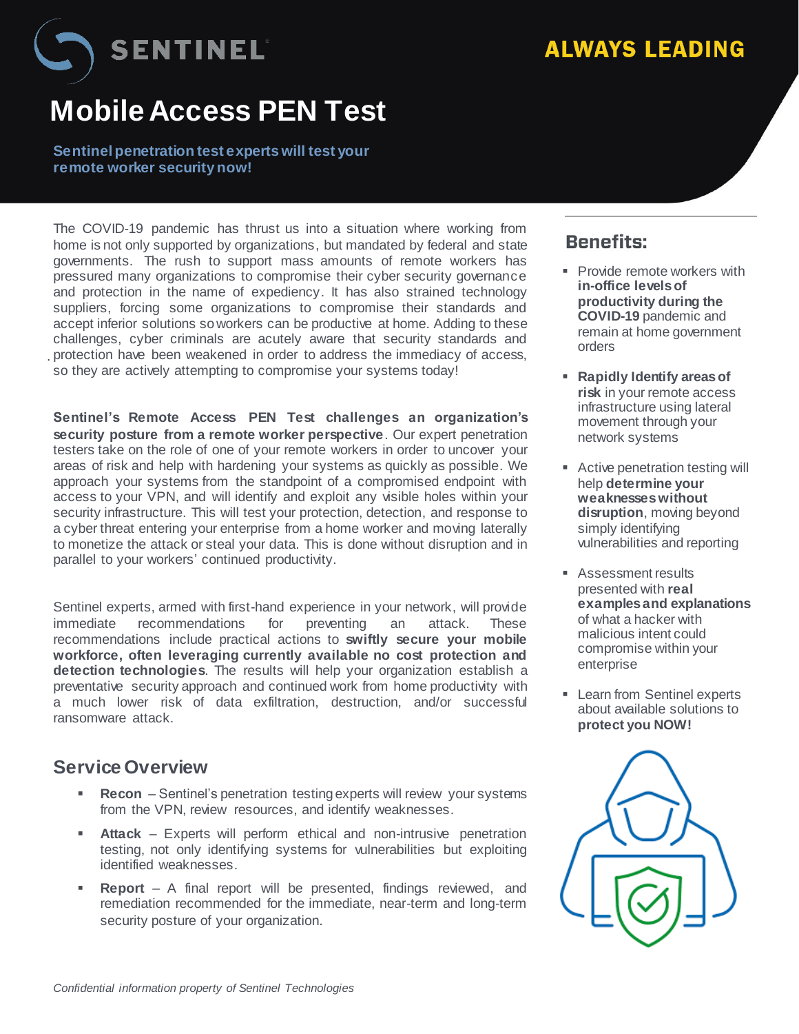SENTINEL

## **Mobile Access PEN Test**

**Sentinel penetration test experts will test your remote worker security now!**

**Phase 2 Phase 22 Phase 22 Phase3 Panidly Identify at the Society of Panidly Identify at Panidly Identify at Panidly Identify at Panidly Identity at Panidly Identity at Panidly Identity at Panidly Identity at Panid Scope ofInvestigation**  protection have been weakened in order to address the immediacy of access, The COVID-19 pandemic has thrust us into a situation where working from home is not only supported by organizations, but mandated by federal and state governments. The rush to support mass amounts of remote workers has pressured many organizations to compromise their cyber security governance and protection in the name of expediency. It has also strained technology suppliers, forcing some organizations to compromise their standards and accept inferior solutions soworkers can be productive at home. Adding to these challenges, cyber criminals are acutely aware that security standards and

**Sentinel's Remote Access PEN Test challenges an organization's security posture from a remote worker perspective**. Our expert penetration testers take on the role of one of your remote workers in order to uncover your areas of risk and help with hardening your systems as quickly as possible. We approach your systems from the standpoint of a compromised endpoint with access to your VPN, and will identify and exploit any visible holes within your security infrastructure. This will test your protection, detection, and response to a cyber threat entering your enterprise from a home worker and moving laterally to monetize the attack or steal your data. This is done without disruption and in parallel to your workers' continued productivity.

Sentinel experts, armed with first-hand experience in your network, will provide immediate recommendations for preventing an attack. These recommendations include practical actions to **swiftly secure your mobile workforce, often leveraging currently available no cost protection and detection technologies**. The results will help your organization establish a preventative security approach and continued work from home productivity with a much lower risk of data exfiltration, destruction, and/or successful ransomware attack.

## **Service Overview**

.

- **Recon** Sentinel's penetration testing experts will review your systems from the VPN, review resources, and identify weaknesses.
- **Attack** Experts will perform ethical and non-intrusive penetration testing, not only identifying systems for vulnerabilities but exploiting identified weaknesses.
- **Report** A final report will be presented, findings reviewed, and remediation recommended for the immediate, near-term and long-term security posture of your organization.

## **Benefits:**

- **Provide remote workers with in-office levels of productivity during the COVID-19** pandemic and remain at home government orders
- metwork ambagn your<br>network systems **Rapidly Identify areas of risk** in your remote access infrastructure using lateral movement through your
- Active penetration testing will help **determine your weaknesses without disruption**, moving beyond simply identifying vulnerabilities and reporting
- **Assessment results** presented with **real examples and explanations** of what a hacker with malicious intent could compromise within your enterprise
- **Learn from Sentinel experts** about available solutions to **protect you NOW!**